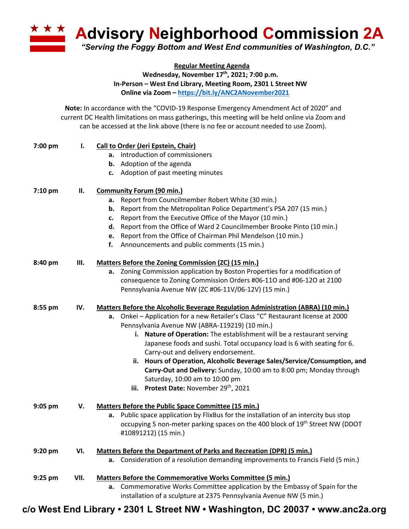

**Regular Meeting Agenda** Wednesday, November 17<sup>th</sup>, 2021; 7:00 p.m. **In-Person – West End Library, Meeting Room, 2301 L Street NW Online via Zoom – https://bit.ly/ANC2ANovember2021**

**Note:** In accordance with the "COVID-19 Response Emergency Amendment Act of 2020" and current DC Health limitations on mass gatherings, this meeting will be held online via Zoom and can be accessed at the link above (there is no fee or account needed to use Zoom).

| 7:00 pm   | Ι.   | Call to Order (Jeri Epstein, Chair)                                                     |  |  |  |
|-----------|------|-----------------------------------------------------------------------------------------|--|--|--|
|           |      | a. Introduction of commissioners                                                        |  |  |  |
|           |      | <b>b.</b> Adoption of the agenda                                                        |  |  |  |
|           |      | c. Adoption of past meeting minutes                                                     |  |  |  |
| $7:10$ pm | П.   | <b>Community Forum (90 min.)</b>                                                        |  |  |  |
|           |      | a. Report from Councilmember Robert White (30 min.)                                     |  |  |  |
|           |      | <b>b.</b> Report from the Metropolitan Police Department's PSA 207 (15 min.)            |  |  |  |
|           |      | Report from the Executive Office of the Mayor (10 min.)<br>c.                           |  |  |  |
|           |      | Report from the Office of Ward 2 Councilmember Brooke Pinto (10 min.)<br>d.             |  |  |  |
|           |      | e. Report from the Office of Chairman Phil Mendelson (10 min.)                          |  |  |  |
|           |      | f.<br>Announcements and public comments (15 min.)                                       |  |  |  |
| 8:40 pm   | Ш.   | Matters Before the Zoning Commission (ZC) (15 min.)                                     |  |  |  |
|           |      | a. Zoning Commission application by Boston Properties for a modification of             |  |  |  |
|           |      | consequence to Zoning Commission Orders #06-110 and #06-120 at 2100                     |  |  |  |
|           |      | Pennsylvania Avenue NW (ZC #06-11V/06-12V) (15 min.)                                    |  |  |  |
| 8:55 pm   | IV.  | <b>Matters Before the Alcoholic Beverage Regulation Administration (ABRA) (10 min.)</b> |  |  |  |
|           |      | a. Onkei - Application for a new Retailer's Class "C" Restaurant license at 2000        |  |  |  |
|           |      | Pennsylvania Avenue NW (ABRA-119219) (10 min.)                                          |  |  |  |
|           |      | i. Nature of Operation: The establishment will be a restaurant serving                  |  |  |  |
|           |      | Japanese foods and sushi. Total occupancy load is 6 with seating for 6.                 |  |  |  |
|           |      | Carry-out and delivery endorsement.                                                     |  |  |  |
|           |      | ii. Hours of Operation, Alcoholic Beverage Sales/Service/Consumption, and               |  |  |  |
|           |      | Carry-Out and Delivery: Sunday, 10:00 am to 8:00 pm; Monday through                     |  |  |  |
|           |      | Saturday, 10:00 am to 10:00 pm                                                          |  |  |  |
|           |      | iii. Protest Date: November 29 <sup>th</sup> , 2021                                     |  |  |  |
| 9:05 pm   | V.   | Matters Before the Public Space Committee (15 min.)                                     |  |  |  |
|           |      | Public space application by FlixBus for the installation of an intercity bus stop<br>а. |  |  |  |
|           |      | occupying 5 non-meter parking spaces on the 400 block of 19th Street NW (DDOT           |  |  |  |
|           |      | #10891212) (15 min.)                                                                    |  |  |  |
| 9:20 pm   | VI.  | <b>Matters Before the Department of Parks and Recreation (DPR) (5 min.)</b>             |  |  |  |
|           |      | a. Consideration of a resolution demanding improvements to Francis Field (5 min.)       |  |  |  |
| $9:25$ pm | VII. | Matters Before the Commemorative Works Committee (5 min.)                               |  |  |  |
|           |      | a. Commemorative Works Committee application by the Embassy of Spain for the            |  |  |  |
|           |      | installation of a sculpture at 2375 Pennsylvania Avenue NW (5 min.)                     |  |  |  |

**c/o West End Library • 2301 L Street NW • Washington, DC 20037 • www.anc2a.org**